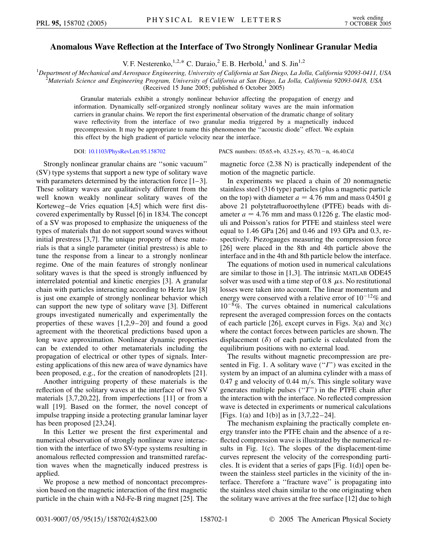## **Anomalous Wave Reflection at the Interface of Two Strongly Nonlinear Granular Media**

V. F. Nesterenko,  $^{1,2,*}$  C. Daraio, <sup>2</sup> E. B. Herbold,<sup>1</sup> and S. Jin<sup>1,2</sup>

<sup>1</sup>Department of Mechanical and Aerospace Engineering, University of California at San Diego, La Jolla, California 92093-0411, USA<br><sup>2</sup>Materials Science and Engineering Program, University of California at San Diego, La Jol

*Materials Science and Engineering Program, University of California at San Diego, La Jolla, California 92093-0418, USA*

(Received 15 June 2005; published 6 October 2005)

Granular materials exhibit a strongly nonlinear behavior affecting the propagation of energy and information. Dynamically self-organized strongly nonlinear solitary waves are the main information carriers in granular chains. We report the first experimental observation of the dramatic change of solitary wave reflectivity from the interface of two granular media triggered by a magnetically induced precompression. It may be appropriate to name this phenomenon the ''acoustic diode'' effect. We explain this effect by the high gradient of particle velocity near the interface.

Strongly nonlinear granular chains are ''sonic vacuum'' (SV) type systems that support a new type of solitary wave with parameters determined by the interaction force [1–3]. These solitary waves are qualitatively different from the well known weakly nonlinear solitary waves of the Korteweg–de Vries equation [4,5] which were first discovered experimentally by Russel [6] in 1834. The concept of a SV was proposed to emphasize the uniqueness of the types of materials that do not support sound waves without initial prestress [3,7]. The unique property of these materials is that a single parameter (initial prestress) is able to tune the response from a linear to a strongly nonlinear regime. One of the main features of strongly nonlinear solitary waves is that the speed is strongly influenced by interrelated potential and kinetic energies [3]. A granular chain with particles interacting according to Hertz law [8] is just one example of strongly nonlinear behavior which can support the new type of solitary wave [3]. Different groups investigated numerically and experimentally the properties of these waves [1,2,9–20] and found a good agreement with the theoretical predictions based upon a long wave approximation. Nonlinear dynamic properties can be extended to other metamaterials including the propagation of electrical or other types of signals. Interesting applications of this new area of wave dynamics have been proposed, e.g., for the creation of nanodroplets [21].

Another intriguing property of these materials is the reflection of the solitary waves at the interface of two SV materials [3,7,20,22], from imperfections [11] or from a wall [19]. Based on the former, the novel concept of impulse trapping inside a protecting granular laminar layer has been proposed [23,24].

In this Letter we present the first experimental and numerical observation of strongly nonlinear wave interaction with the interface of two SV-type systems resulting in anomalous reflected compression and transmitted rarefaction waves when the magnetically induced prestress is applied.

We propose a new method of noncontact precompression based on the magnetic interaction of the first magnetic particle in the chain with a Nd-Fe-B ring magnet [25]. The

DOI: [10.1103/PhysRevLett.95.158702](http://dx.doi.org/10.1103/PhysRevLett.95.158702) PACS numbers: 05.65.+b, 43.25.+y, 45.70. - n, 46.40.Cd

magnetic force (2.38 N) is practically independent of the motion of the magnetic particle.

In experiments we placed a chain of 20 nonmagnetic stainless steel (316 type) particles (plus a magnetic particle on the top) with diameter  $a = 4.76$  mm and mass 0.4501 g above 21 polytetrafluoroethylene (PTFE) beads with diameter  $a = 4.76$  mm and mass 0.1226 g. The elastic moduli and Poisson's ratios for PTFE and stainless steel were equal to 1.46 GPa [26] and 0.46 and 193 GPa and 0.3, respectively. Piezogauges measuring the compression force [26] were placed in the 8th and 4th particle above the interface and in the 4th and 8th particle below the interface.

The equations of motion used in numerical calculations are similar to those in [1,3]. The intrinsic MATLAB ODE45 solver was used with a time step of 0.8  $\mu$ s. No restitutional losses were taken into account. The linear momentum and energy were conserved with a relative error of  $10^{-12}\%$  and 10-8%. The curves obtained in numerical calculations represent the averaged compression forces on the contacts of each particle  $[26]$ , except curves in Figs. 3(a) and 3(c) where the contact forces between particles are shown. The displacement  $(\delta)$  of each particle is calculated from the equilibrium positions with no external load.

The results without magnetic precompression are presented in Fig. 1. A solitary wave (''*I*'') was excited in the system by an impact of an alumina cylinder with a mass of 0.47 g and velocity of 0.44 m/s. This single solitary wave generates multiple pulses (''*T*'') in the PTFE chain after the interaction with the interface. No reflected compression wave is detected in experiments or numerical calculations [Figs. 1(a) and 1(b)] as in [3,7,22–24].

The mechanism explaining the practically complete energy transfer into the PTFE chain and the absence of a reflected compression wave is illustrated by the numerical results in Fig. 1(c). The slopes of the displacement-time curves represent the velocity of the corresponding particles. It is evident that a series of gaps [Fig. 1(d)] open between the stainless steel particles in the vicinity of the interface. Therefore a ''fracture wave'' is propagating into the stainless steel chain similar to the one originating when the solitary wave arrives at the free surface [12] due to high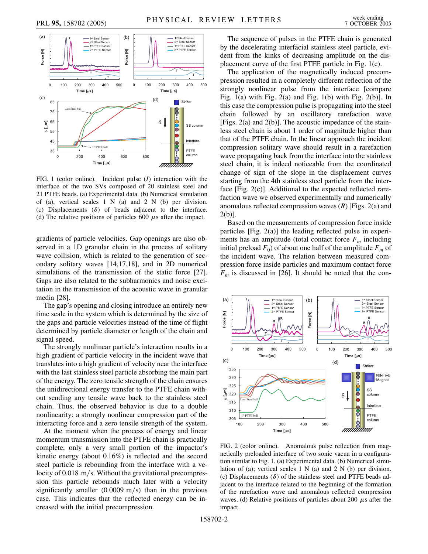

FIG. 1 (color online). Incident pulse (*I*) interaction with the interface of the two SVs composed of 20 stainless steel and 21 PTFE beads. (a) Experimental data. (b) Numerical simulation of (a), vertical scales 1 N (a) and 2 N (b) per division. (c) Displacements  $(\delta)$  of beads adjacent to the interface. (d) The relative positions of particles 600  $\mu$ s after the impact.

gradients of particle velocities. Gap openings are also observed in a 1D granular chain in the process of solitary wave collision, which is related to the generation of secondary solitary waves [14,17,18], and in 2D numerical simulations of the transmission of the static force [27]. Gaps are also related to the subharmonics and noise excitation in the transmission of the acoustic wave in granular media [28].

The gap's opening and closing introduce an entirely new time scale in the system which is determined by the size of the gaps and particle velocities instead of the time of flight determined by particle diameter or length of the chain and signal speed.

The strongly nonlinear particle's interaction results in a high gradient of particle velocity in the incident wave that translates into a high gradient of velocity near the interface with the last stainless steel particle absorbing the main part of the energy. The zero tensile strength of the chain ensures the unidirectional energy transfer to the PTFE chain without sending any tensile wave back to the stainless steel chain. Thus, the observed behavior is due to a double nonlinearity: a strongly nonlinear compression part of the interacting force and a zero tensile strength of the system.

At the moment when the process of energy and linear momentum transmission into the PTFE chain is practically complete, only a very small portion of the impactor's kinetic energy (about 0.16%) is reflected and the second steel particle is rebounding from the interface with a velocity of 0.018 m/s. Without the gravitational precompression this particle rebounds much later with a velocity significantly smaller  $(0.0009 \text{ m/s})$  than in the previous case. This indicates that the reflected energy can be increased with the initial precompression.

The sequence of pulses in the PTFE chain is generated by the decelerating interfacial stainless steel particle, evident from the kinks of decreasing amplitude on the displacement curve of the first PTFE particle in Fig. 1(c).

The application of the magnetically induced precompression resulted in a completely different reflection of the strongly nonlinear pulse from the interface [compare Fig.  $1(a)$  with Fig.  $2(a)$  and Fig.  $1(b)$  with Fig.  $2(b)$ ]. In this case the compression pulse is propagating into the steel chain followed by an oscillatory rarefaction wave [Figs. 2(a) and 2(b)]. The acoustic impedance of the stainless steel chain is about 1 order of magnitude higher than that of the PTFE chain. In the linear approach the incident compression solitary wave should result in a rarefaction wave propagating back from the interface into the stainless steel chain, it is indeed noticeable from the coordinated change of sign of the slope in the displacement curves starting from the 4th stainless steel particle from the interface [Fig. 2(c)]. Additional to the expected reflected rarefaction wave we observed experimentally and numerically anomalous reflected compression waves (*R*) [Figs. 2(a) and 2(b)].

Based on the measurements of compression force inside particles [Fig. 2(a)] the leading reflected pulse in experiments has an amplitude (total contact force  $F_m$  including initial preload  $F_0$ ) of about one half of the amplitude  $F_m$  of the incident wave. The relation between measured compression force inside particles and maximum contact force  $F_m$  is discussed in [26]. It should be noted that the con-



FIG. 2 (color online). Anomalous pulse reflection from magnetically preloaded interface of two sonic vacua in a configuration similar to Fig. 1. (a) Experimental data. (b) Numerical simulation of (a); vertical scales 1 N (a) and 2 N (b) per division. (c) Displacements  $(\delta)$  of the stainless steel and PTFE beads adjacent to the interface related to the beginning of the formation of the rarefaction wave and anomalous reflected compression waves. (d) Relative positions of particles about 200  $\mu$ s after the impact.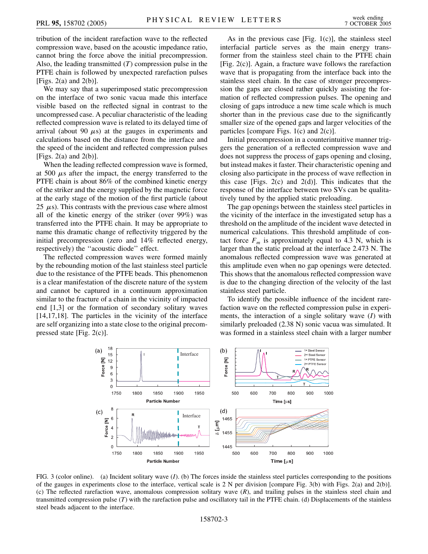tribution of the incident rarefaction wave to the reflected compression wave, based on the acoustic impedance ratio, cannot bring the force above the initial precompression. Also, the leading transmitted (*T*) compression pulse in the PTFE chain is followed by unexpected rarefaction pulses [Figs.  $2(a)$  and  $2(b)$ ].

We may say that a superimposed static precompression on the interface of two sonic vacua made this interface visible based on the reflected signal in contrast to the uncompressed case. A peculiar characteristic of the leading reflected compression wave is related to its delayed time of arrival (about 90  $\mu$ s) at the gauges in experiments and calculations based on the distance from the interface and the speed of the incident and reflected compression pulses [Figs.  $2(a)$  and  $2(b)$ ].

When the leading reflected compression wave is formed, at 500  $\mu$ s after the impact, the energy transferred to the PTFE chain is about 86% of the combined kinetic energy of the striker and the energy supplied by the magnetic force at the early stage of the motion of the first particle (about 25  $\mu$ s). This contrasts with the previous case where almost all of the kinetic energy of the striker (over 99%) was transferred into the PTFE chain. It may be appropriate to name this dramatic change of reflectivity triggered by the initial precompression (zero and 14% reflected energy, respectively) the ''acoustic diode'' effect.

The reflected compression waves were formed mainly by the rebounding motion of the last stainless steel particle due to the resistance of the PTFE beads. This phenomenon is a clear manifestation of the discrete nature of the system and cannot be captured in a continuum approximation similar to the fracture of a chain in the vicinity of impacted end [1,3] or the formation of secondary solitary waves [14,17,18]. The particles in the vicinity of the interface are self organizing into a state close to the original precompressed state [Fig. 2(c)].

As in the previous case [Fig.  $1(c)$ ], the stainless steel interfacial particle serves as the main energy transformer from the stainless steel chain to the PTFE chain [Fig. 2(c)]. Again, a fracture wave follows the rarefaction wave that is propagating from the interface back into the stainless steel chain. In the case of stronger precompression the gaps are closed rather quickly assisting the formation of reflected compression pulses. The opening and closing of gaps introduce a new time scale which is much shorter than in the previous case due to the significantly smaller size of the opened gaps and larger velocities of the particles [compare Figs. 1(c) and 2(c)].

Initial precompression in a counterintuitive manner triggers the generation of a reflected compression wave and does not suppress the process of gaps opening and closing, but instead makes it faster. Their characteristic opening and closing also participate in the process of wave reflection in this case [Figs. 2(c) and 2(d)]. This indicates that the response of the interface between two SVs can be qualitatively tuned by the applied static preloading.

The gap openings between the stainless steel particles in the vicinity of the interface in the investigated setup has a threshold on the amplitude of the incident wave detected in numerical calculations. This threshold amplitude of contact force  $F_m$  is approximately equal to 4.3 N, which is larger than the static preload at the interface 2.473 N. The anomalous reflected compression wave was generated at this amplitude even when no gap openings were detected. This shows that the anomalous reflected compression wave is due to the changing direction of the velocity of the last stainless steel particle.

To identify the possible influence of the incident rarefaction wave on the reflected compression pulse in experiments, the interaction of a single solitary wave (*I*) with similarly preloaded (2.38 N) sonic vacua was simulated. It was formed in a stainless steel chain with a larger number



FIG. 3 (color online). (a) Incident solitary wave (*I*). (b) The forces inside the stainless steel particles corresponding to the positions of the gauges in experiments close to the interface, vertical scale is 2 N per division [compare Fig. 3(b) with Figs. 2(a) and 2(b)]. (c) The reflected rarefaction wave, anomalous compression solitary wave (*R*), and trailing pulses in the stainless steel chain and transmitted compression pulse (*T*) with the rarefaction pulse and oscillatory tail in the PTFE chain. (d) Displacements of the stainless steel beads adjacent to the interface.